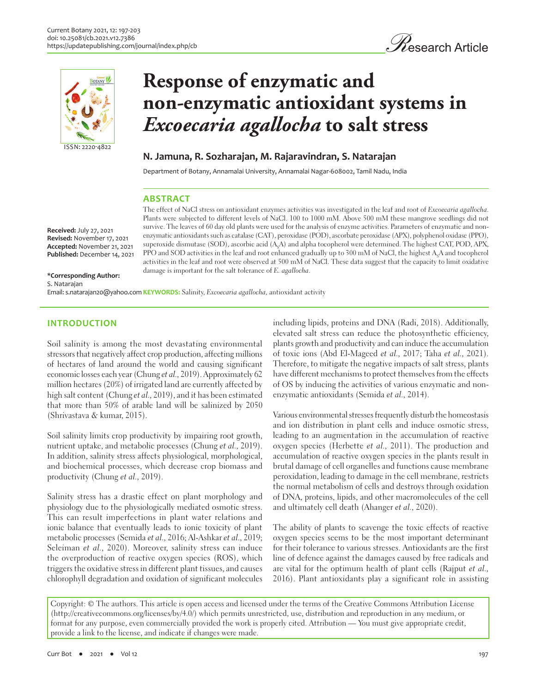



# **Response of enzymatic and non-enzymatic antioxidant systems in**  *Excoecaria agallocha* **to salt stress**

## **N. Jamuna, R. Sozharajan, M. Rajaravindran, S. Natarajan**

Department of Botany, Annamalai University, Annamalai Nagar-608002, Tamil Nadu, India

## **ABSTRACT**

The effect of NaCl stress on antioxidant enzymes activities was investigated in the leaf and root of Excoecaria agallocha. Plants were subjected to different levels of NaCl. 100 to 1000 mM. Above 500 mM these mangrove seedlings did not survive. The leaves of 60 day old plants were used for the analysis of enzyme activities. Parameters of enzymatic and nonenzymatic antioxidants such as catalase (CAT), peroxidase (POD), ascorbate peroxidase (APX), polyphenol oxidase (PPO), superoxide dismutase (SOD), ascorbic acid (A<sub>s</sub>A) and alpha tocopherol were determined. The highest CAT, POD, APX, PPO and SOD activities in the leaf and root enhanced gradually up to 300 mM of NaCl, the highest A<sub>s</sub>A and tocopherol activities in the leaf and root were observed at 500 mM of NaCl. These data suggest that the capacity to limit oxidative damage is important for the salt tolerance of E. agallocha.

**Received:** July 27, 2021 **Revised:** November 17, 2021 **Accepted:** November 21, 2021 **Published:** December 14, 2021

#### **\*Corresponding Author:** S. Natarajan

Email: s.natarajan20@yahoo.com KEYWORDS: Salinity, *Excoecaria agallocha*, antioxidant activity

## **INTRODUCTION**

Soil salinity is among the most devastating environmental stressors that negatively affect crop production, affecting millions of hectares of land around the world and causing significant economic losses each year (Chung et al., 2019). Approximately 62 million hectares (20%) of irrigated land are currently affected by high salt content (Chung et al., 2019), and it has been estimated that more than 50% of arable land will be salinized by 2050 (Shrivastava & kumar, 2015).

Soil salinity limits crop productivity by impairing root growth, nutrient uptake, and metabolic processes (Chung et al., 2019). In addition, salinity stress affects physiological, morphological, and biochemical processes, which decrease crop biomass and productivity (Chung et al., 2019).

Salinity stress has a drastic effect on plant morphology and physiology due to the physiologically mediated osmotic stress. This can result imperfections in plant water relations and ionic balance that eventually leads to ionic toxicity of plant metabolic processes (Semida et al., 2016; Al-Ashkar et al., 2019; Seleiman et al., 2020). Moreover, salinity stress can induce the overproduction of reactive oxygen species (ROS), which triggers the oxidative stress in different plant tissues, and causes chlorophyll degradation and oxidation of significant molecules

including lipids, proteins and DNA (Radi, 2018). Additionally, elevated salt stress can reduce the photosynthetic efficiency, plants growth and productivity and can induce the accumulation of toxic ions (Abd El-Mageed et al., 2017; Taha et al., 2021). Therefore, to mitigate the negative impacts of salt stress, plants have different mechanisms to protect themselves from the effects of OS by inducing the activities of various enzymatic and nonenzymatic antioxidants (Semida et al., 2014).

Various environmental stresses frequently disturb the homeostasis and ion distribution in plant cells and induce osmotic stress, leading to an augmentation in the accumulation of reactive oxygen species (Herbette et al., 2011). The production and accumulation of reactive oxygen species in the plants result in brutal damage of cell organelles and functions cause membrane peroxidation, leading to damage in the cell membrane, restricts the normal metabolism of cells and destroys through oxidation of DNA, proteins, lipids, and other macromolecules of the cell and ultimately cell death (Ahanger et al., 2020).

The ability of plants to scavenge the toxic effects of reactive oxygen species seems to be the most important determinant for their tolerance to various stresses. Antioxidants are the first line of defence against the damages caused by free radicals and are vital for the optimum health of plant cells (Rajput et al., 2016). Plant antioxidants play a significant role in assisting

Copyright: © The authors. This article is open access and licensed under the terms of the Creative Commons Attribution License (http://creativecommons.org/licenses/by/4.0/) which permits unrestricted, use, distribution and reproduction in any medium, or format for any purpose, even commercially provided the work is properly cited. Attribution — You must give appropriate credit, provide a link to the license, and indicate if changes were made.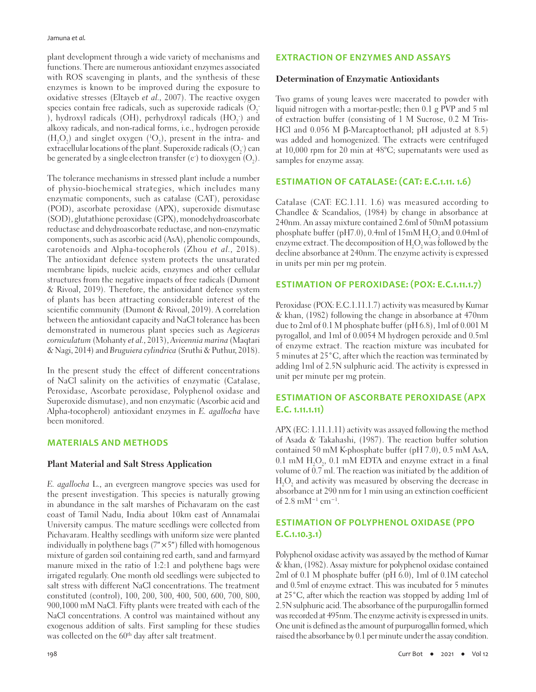Jamuna *et al.*

plant development through a wide variety of mechanisms and functions. There are numerous antioxidant enzymes associated with ROS scavenging in plants, and the synthesis of these enzymes is known to be improved during the exposure to oxidative stresses (Eltayeb et al., 2007). The reactive oxygen species contain free radicals, such as superoxide radicals  $\mathrm{(O_2^-)}$ ), hydroxyl radicals (OH), perhydroxyl radicals  $(\mathrm{HO}_2^-)$  and alkoxy radicals, and non-radical forms, i.e., hydrogen peroxide  $(H_2O_2)$  and singlet oxygen  $(^1O_2)$ , present in the intra- and extracellular locations of the plant. Superoxide radicals  $\mathrm{(O}_2^{\scriptscriptstyle +})$  can be generated by a single electron transfer (e $\cdot$ ) to dioxygen (O $_2$ ).

The tolerance mechanisms in stressed plant include a number of physio-biochemical strategies, which includes many enzymatic components, such as catalase (CAT), peroxidase (POD), ascorbate peroxidase (APX), superoxide dismutase (SOD), glutathione peroxidase (GPX), monodehydroascorbate reductase and dehydroascorbate reductase, and non-enzymatic components, such as ascorbic acid (AsA), phenolic compounds, carotenoids and Alpha-tocopherols (Zhou et al., 2018). The antioxidant defence system protects the unsaturated membrane lipids, nucleic acids, enzymes and other cellular structures from the negative impacts of free radicals (Dumont & Rivoal, 2019). Therefore, the antioxidant defence system of plants has been attracting considerable interest of the scientific community (Dumont & Rivoal, 2019). A correlation between the antioxidant capacity and NaCl tolerance has been demonstrated in numerous plant species such as Aegiceras corniculatum (Mohanty et al., 2013), Avicennia marina (Maqtari & Nagi, 2014) and Bruguiera cylindrica (Sruthi & Puthur, 2018).

In the present study the effect of different concentrations of NaCl salinity on the activities of enzymatic (Catalase, Peroxidase, Ascorbate peroxidase, Polyphenol oxidase and Superoxide dismutase), and non enzymatic (Ascorbic acid and Alpha-tocopherol) antioxidant enzymes in E. agallocha have been monitored.

## **MATERIALS AND METHODS**

#### **Plant Material and Salt Stress Application**

E. agallocha L., an evergreen mangrove species was used for the present investigation. This species is naturally growing in abundance in the salt marshes of Pichavaram on the east coast of Tamil Nadu, India about 10km east of Annamalai University campus. The mature seedlings were collected from Pichavaram. Healthy seedlings with uniform size were planted individually in polythene bags  $(7" \times 5")$  filled with homogenous mixture of garden soil containing red earth, sand and farmyard manure mixed in the ratio of 1:2:1 and polythene bags were irrigated regularly. One month old seedlings were subjected to salt stress with different NaCl concentrations. The treatment constituted (control), 100, 200, 300, 400, 500, 600, 700, 800, 900,1000 mM NaCl. Fifty plants were treated with each of the NaCl concentrations. A control was maintained without any exogenous addition of salts. First sampling for these studies was collected on the 60<sup>th</sup> day after salt treatment.

## **EXTRACTION OF ENZYMES AND ASSAYS**

#### **Determination of Enzymatic Antioxidants**

Two grams of young leaves were macerated to powder with liquid nitrogen with a mortar-pestle; then 0.1 g PVP and 5 ml of extraction buffer (consisting of 1 M Sucrose, 0.2 M Tris-HCl and 0.056 M β-Marcaptoethanol; pH adjusted at 8.5) was added and homogenized. The extracts were centrifuged at 10,000 rpm for 20 min at 48°C; supernatants were used as samples for enzyme assay.

## **ESTIMATION OF CATALASE: (CAT: E.C.1.11. 1.6)**

Catalase (CAT: EC.1.11. 1.6) was measured according to Chandlee & Scandalios, (1984) by change in absorbance at 240nm. An assay mixture contained 2.6ml of 50mM potassium phosphate buffer (pH7.0), 0.4ml of  $15 \rm{mM}$  H $_{2} \rm{O}_{2}$  and 0.04ml of enzyme extract. The decomposition of  $\rm{H}_{2}\rm{O}_{2}$  was followed by the decline absorbance at 240nm. The enzyme activity is expressed in units per min per mg protein.

## **ESTIMATION OF PEROXIDASE: (POX: E.C.1.11.1.7)**

Peroxidase (POX: E.C.1.11.1.7) activity was measured by Kumar & khan, (1982) following the change in absorbance at 470nm due to 2ml of 0.1 M phosphate buffer (pH 6.8), 1ml of 0.001 M pyrogallol, and 1ml of 0.0054 M hydrogen peroxide and 0.5ml of enzyme extract. The reaction mixture was incubated for 5 minutes at 25˚C, after which the reaction was terminated by adding 1ml of 2.5N sulphuric acid. The activity is expressed in unit per minute per mg protein.

## **ESTIMATION OF ASCORBATE PEROXIDASE (APX E.C. 1.11.1.11)**

APX (EC: 1.11.1.11) activity was assayed following the method of Asada & Takahashi, (1987). The reaction buffer solution contained 50 mM K-phosphate buffer (pH 7.0), 0.5 mM AsA,  $0.1 \text{ mM } H_2\text{O}_2$ ,  $0.1 \text{ mM } E\text{DTA}$  and enzyme extract in a final volume of  $0.7$  ml. The reaction was initiated by the addition of  $\rm H_2O_2$  and activity was measured by observing the decrease in absorbance at 290 nm for 1 min using an extinction coefficient of 2.8 mM−1 cm−1.

## **ESTIMATION OF POLYPHENOL OXIDASE (PPO E.C.1.10.3.1)**

Polyphenol oxidase activity was assayed by the method of Kumar & khan, (1982). Assay mixture for polyphenol oxidase contained 2ml of 0.1 M phosphate buffer (pH 6.0), 1ml of 0.1M catechol and 0.5ml of enzyme extract. This was incubated for 5 minutes at 25˚C, after which the reaction was stopped by adding 1ml of 2.5N sulphuric acid. The absorbance of the purpurogallin formed was recorded at 495nm. The enzyme activity is expressed in units. One unit is defined as the amount of purpurogallin formed, which raised the absorbance by 0.1 per minute under the assay condition.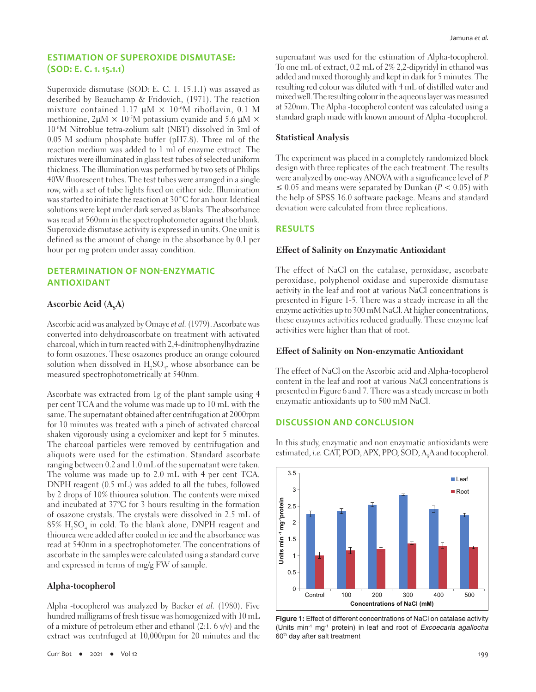## **ESTIMATION OF SUPEROXIDE DISMUTASE: (SOD: E. C. 1. 15.1.1)**

Superoxide dismutase (SOD: E. C. 1. 15.1.1) was assayed as described by Beauchamp & Fridovich, (1971). The reaction mixture contained 1.17  $\mu$ M  $\times$  10<sup>-6</sup>M riboflavin, 0.1 M methionine,  $2\mu M \times 10^{-5}M$  potassium cyanide and 5.6  $\mu$ M  $\times$ 10-6M Nitroblue tetra-zolium salt (NBT) dissolved in 3ml of 0.05 M sodium phosphate buffer (pH7.8). Three ml of the reaction medium was added to 1 ml of enzyme extract. The mixtures were illuminated in glass test tubes of selected uniform thickness. The illumination was performed by two sets of Philips 40W fluorescent tubes. The test tubes were arranged in a single row, with a set of tube lights fixed on either side. Illumination was started to initiate the reaction at 30°C for an hour. Identical solutions were kept under dark served as blanks. The absorbance was read at 560nm in the spectrophotometer against the blank. Superoxide dismutase activity is expressed in units. One unit is defined as the amount of change in the absorbance by 0.1 per hour per mg protein under assay condition.

## **DETERMINATION OF NON-ENZYMATIC ANTIOXIDANT**

## Ascorbic Acid (A<sub>s</sub>A)

Ascorbic acid was analyzed by Omaye et al. (1979). Ascorbate was converted into dehydroascorbate on treatment with activated charcoal, which in turn reacted with 2,4-dinitrophenylhydrazine to form osazones. These osazones produce an orange coloured solution when dissolved in  $\mathrm{H}_2\mathrm{SO}_4$ , whose absorbance can be measured spectrophotometrically at 540nm.

Ascorbate was extracted from 1g of the plant sample using 4 per cent TCA and the volume was made up to 10 mL with the same. The supernatant obtained after centrifugation at 2000rpm for 10 minutes was treated with a pinch of activated charcoal shaken vigorously using a cyclomixer and kept for 5 minutes. The charcoal particles were removed by centrifugation and aliquots were used for the estimation. Standard ascorbate ranging between 0.2 and 1.0 mL of the supernatant were taken. The volume was made up to 2.0 mL with 4 per cent TCA. DNPH reagent (0.5 mL) was added to all the tubes, followed by 2 drops of 10% thiourea solution. The contents were mixed and incubated at 37°C for 3 hours resulting in the formation of osazone crystals. The crystals were dissolved in 2.5 mL of  $85\%$   $\rm H_2SO_4$  in cold. To the blank alone, DNPH reagent and thiourea were added after cooled in ice and the absorbance was read at 540nm in a spectrophotometer. The concentrations of ascorbate in the samples were calculated using a standard curve and expressed in terms of mg/g FW of sample.

#### **Alpha-tocopherol**

Alpha -tocopherol was analyzed by Backer et al. (1980). Five hundred milligrams of fresh tissue was homogenized with 10 mL of a mixture of petroleum ether and ethanol (2:1. 6 v/v) and the extract was centrifuged at 10,000rpm for 20 minutes and the supernatant was used for the estimation of Alpha-tocopherol. To one mL of extract, 0.2 mL of 2% 2,2-dipyridyl in ethanol was added and mixed thoroughly and kept in dark for 5 minutes. The resulting red colour was diluted with 4 mL of distilled water and mixed well. The resulting colour in the aqueous layer was measured at 520nm. The Alpha -tocopherol content was calculated using a standard graph made with known amount of Alpha -tocopherol.

#### **Statistical Analysis**

The experiment was placed in a completely randomized block design with three replicates of the each treatment. The results were analyzed by one-way ANOVA with a significance level of P ≤ 0.05 and means were separated by Dunkan ( $P < 0.05$ ) with the help of SPSS 16.0 software package. Means and standard deviation were calculated from three replications.

#### **RESULTS**

3.5

#### **Effect of Salinity on Enzymatic Antioxidant**

The effect of NaCl on the catalase, peroxidase, ascorbate peroxidase, polyphenol oxidase and superoxide dismutase activity in the leaf and root at various NaCl concentrations is presented in Figure 1-5. There was a steady increase in all the enzyme activities up to 300 mM NaCl. At higher concentrations, these enzymes activities reduced gradually. These enzyme leaf activities were higher than that of root.

#### **Effect of Salinity on Non-enzymatic Antioxidant**

The effect of NaCl on the Ascorbic acid and Alpha-tocopherol content in the leaf and root at various NaCl concentrations is presented in Figure 6 and 7. There was a steady increase in both enzymatic antioxidants up to 500 mM NaCl.

#### **DISCUSSION AND CONCLUSION**

In this study, enzymatic and non enzymatic antioxidants were estimated, *i.e*. CAT, POD, APX, PPO, SOD, A<sub>s</sub>A and tocopherol.



**Figure 1:** Effect of different concentrations of NaCl on catalase activity (Units min-1 mg-1 protein) in leaf and root of *Excoecaria agallocha* 60<sup>th</sup> day after salt treatment

**Leaf**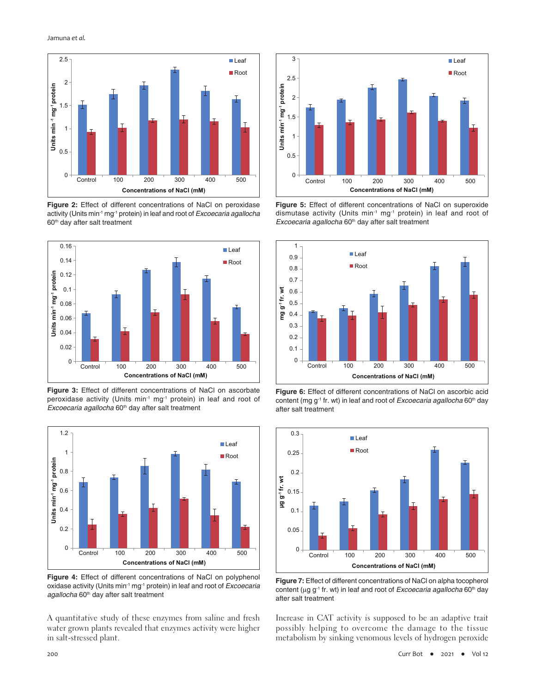

**Figure 2:** Effect of different concentrations of NaCl on peroxidase activity (Units min-1 mg-1 protein) in leaf and root of *Excoecaria agallocha* 60<sup>th</sup> day after salt treatment



**Figure 3:** Effect of different concentrations of NaCl on ascorbate peroxidase activity (Units min<sup>-1</sup> mg<sup>-1</sup> protein) in leaf and root of *Excoecaria agallocha* 60<sup>th</sup> day after salt treatment



**Figure 4:** Effect of different concentrations of NaCl on polyphenol oxidase activity (Units min-1 mg-1 protein) in leaf and root of *Excoecaria*  agallocha 60<sup>th</sup> day after salt treatment

A quantitative study of these enzymes from saline and fresh water grown plants revealed that enzymes activity were higher in salt-stressed plant.



**Figure 5:** Effect of different concentrations of NaCl on superoxide dismutase activity (Units min<sup>-1</sup> mg<sup>-1</sup> protein) in leaf and root of *Excoecaria agallocha* 60<sup>th</sup> day after salt treatment



**Figure 6:** Effect of different concentrations of NaCl on ascorbic acid content (mg g<sup>-1</sup> fr. wt) in leaf and root of *Excoecaria agallocha* 60<sup>th</sup> day after salt treatment



**Figure 7:** Effect of different concentrations of NaCl on alpha tocopherol content (µg g<sup>-1</sup> fr. wt) in leaf and root of *Excoecaria agallocha* 60<sup>th</sup> day after salt treatment

Increase in CAT activity is supposed to be an adaptive trait possibly helping to overcome the damage to the tissue metabolism by sinking venomous levels of hydrogen peroxide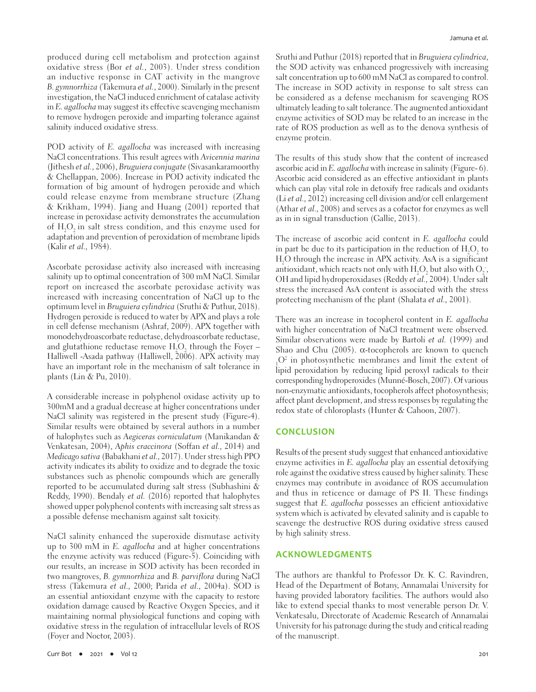produced during cell metabolism and protection against oxidative stress (Bor et al., 2003). Under stress condition an inductive response in CAT activity in the mangrove B. gymnorrhiza (Takemura et al., 2000). Similarly in the present investigation, the NaCl induced enrichment of catalase activity in E. agallocha may suggest its effective scavenging mechanism to remove hydrogen peroxide and imparting tolerance against salinity induced oxidative stress.

POD activity of E. agallocha was increased with increasing NaCl concentrations. This result agrees with Avicennia marina (Jithesh et al., 2006), Bruguiera conjugate (Sivasankaramoorthy & Chellappan, 2006). Increase in POD activity indicated the formation of big amount of hydrogen peroxide and which could release enzyme from membrane structure (Zhang & Krikham, 1994). Jiang and Huang (2001) reported that increase in peroxidase activity demonstrates the accumulation of  $\rm{H}_{2}\rm{O}_{2}$  in salt stress condition, and this enzyme used for adaptation and prevention of peroxidation of membrane lipids (Kalir et al., 1984).

Ascorbate peroxidase activity also increased with increasing salinity up to optimal concentration of 300 mM NaCl. Similar report on increased the ascorbate peroxidase activity was increased with increasing concentration of NaCl up to the optimum level in Bruguiera cylindrica (Sruthi & Puthur, 2018). Hydrogen peroxide is reduced to water by APX and plays a role in cell defense mechanism (Ashraf, 2009). APX together with monodehydroascorbate reductase, dehydroascorbate reductase, and glutathione reductase remove  $\rm H_2O_2$  through the Foyer – Halliwell -Asada pathway (Halliwell, 2006). APX activity may have an important role in the mechanism of salt tolerance in plants (Lin & Pu, 2010).

A considerable increase in polyphenol oxidase activity up to 300mM and a gradual decrease at higher concentrations under NaCl salinity was registered in the present study (Figure-4). Similar results were obtained by several authors in a number of halophytes such as Aegiceras corniculatum (Manikandan & Venkatesan, 2004), Aphis craccinora (Soffan et al., 2014) and Medicago sativa (Babakhani et al., 2017). Under stress high PPO activity indicates its ability to oxidize and to degrade the toxic substances such as phenolic compounds which are generally reported to be accumulated during salt stress (Subhashini & Reddy, 1990). Bendaly et al. (2016) reported that halophytes showed upper polyphenol contents with increasing salt stress as a possible defense mechanism against salt toxicity.

NaCl salinity enhanced the superoxide dismutase activity up to 300 mM in E. agallocha and at higher concentrations the enzyme activity was reduced (Figure-5). Coinciding with our results, an increase in SOD activity has been recorded in two mangroves, B. gymnorrhiza and B. parviflora during NaCl stress (Takemura et al., 2000; Parida et al., 2004a). SOD is an essential antioxidant enzyme with the capacity to restore oxidation damage caused by Reactive Oxygen Species, and it maintaining normal physiological functions and coping with oxidative stress in the regulation of intracellular levels of ROS (Foyer and Noctor, 2003).

Sruthi and Puthur (2018) reported that in Bruguiera cylindrica, the SOD activity was enhanced progressively with increasing salt concentration up to 600 mM NaCl as compared to control. The increase in SOD activity in response to salt stress can be considered as a defense mechanism for scavenging ROS ultimately leading to salt tolerance. The augmented antioxidant enzyme activities of SOD may be related to an increase in the rate of ROS production as well as to the denova synthesis of enzyme protein.

The results of this study show that the content of increased ascorbic acid in E. agallocha with increase in salinity (Figure- 6). Ascorbic acid considered as an effective antioxidant in plants which can play vital role in detoxify free radicals and oxidants (Li et al., 2012) increasing cell division and/or cell enlargement (Athar et al., 2008) and serves as a cofactor for enzymes as well as in in signal transduction (Gallie, 2013).

The increase of ascorbic acid content in E. agallocha could in part be due to its participation in the reduction of  ${\rm H_2O_2}$  to H2 O through the increase in APX activity. AsA is a significant antioxidant, which reacts not only with  $\rm H_2O_2$  but also with  $\rm O_2$  , OH and lipid hydroperoxidases (Reddy et al., 2004). Under salt stress the increased AsA content is associated with the stress protecting mechanism of the plant (Shalata et al., 2001).

There was an increase in tocopherol content in E. agallocha with higher concentration of NaCl treatment were observed. Similar observations were made by Bartoli et al. (1999) and Shao and Chu (2005).  $\alpha$ -tocopherols are known to quench <sup>1</sup><sup>0</sup> In process, included membranes and mine the extent of lipid peroxidation by reducing lipid peroxyl radicals to their O2 in photosynthetic membranes and limit the extent of corresponding hydroperoxides (Munné-Bosch, 2007). Of various non-enzymatic antioxidants, tocopherols affect photosynthesis; affect plant development, and stress responses by regulating the redox state of chloroplasts (Hunter & Cahoon, 2007).

#### **CONCLUSION**

Results of the present study suggest that enhanced antioxidative enzyme activities in E. agallocha play an essential detoxifying role against the oxidative stress caused by higher salinity. These enzymes may contribute in avoidance of ROS accumulation and thus in reticence or damage of PS II. These findings suggest that E. agallocha possesses an efficient antioxidative system which is activated by elevated salinity and is capable to scavenge the destructive ROS during oxidative stress caused by high salinity stress.

#### **ACKNOWLEDGMENTS**

The authors are thankful to Professor Dr. K. C. Ravindren, Head of the Department of Botany, Annamalai University for having provided laboratory facilities. The authors would also like to extend special thanks to most venerable person Dr. V. Venkatesalu, Directorate of Academic Research of Annamalai University for his patronage during the study and critical reading of the manuscript.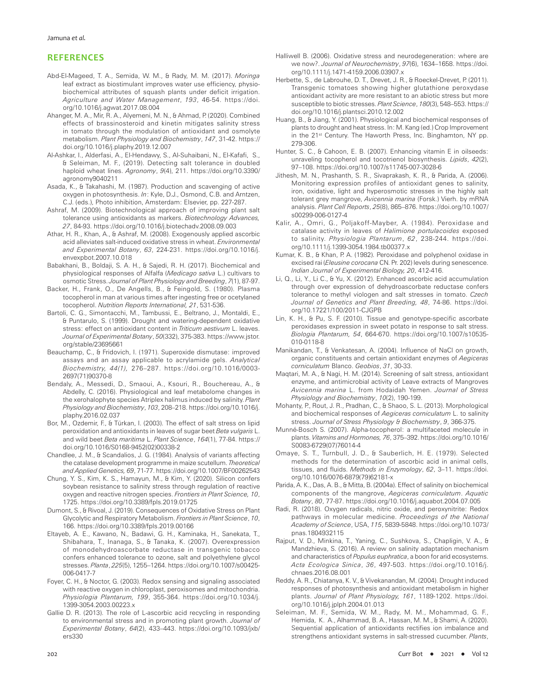#### **REFERENCES**

- Abd-El-Mageed, T. A., Semida, W. M., & Rady, M. M. (2017). *Moringa* leaf extract as biostimulant improves water use efficiency, physiobiochemical attributes of squash plants under deficit irrigation. *Agriculture and Water Management*, *193*, 46-54. https://doi. org/10.1016/j.agwat.2017.08.004
- Ahanger, M. A., Mir, R. A., Alyemeni, M. N., & Ahmad, P. (2020). Combined effects of brassinosteroid and kinetin mitigates salinity stress in tomato through the modulation of antioxidant and osmolyte metabolism. *Plant Physiology and Biochemistry*, *147*, 31-42. https:// doi.org/10.1016/j.plaphy.2019.12.007
- Al-Ashkar, I., Alderfasi, A., El-Hendawy, S., Al-Suhaibani, N., El-Kafafi, S., & Seleiman, M. F., (2019). Detecting salt tolerance in doubled haploid wheat lines. *Agronomy*, *9*(4), 211. https://doi.org/10.3390/ agronomy9040211
- Asada, K., & Takahashi, M. (1987). Production and scavenging of active oxygen in photosynthesis. *In*: Kyle, D.J., Osmond, C.B. and Arntzen, C.J. (eds.), Photo inhibition, Amsterdam: Elsevier, pp. 227-287.
- Ashraf, M. (2009). Biotechnological approach of improving plant salt tolerance using antioxidants as markers. *Biotechnology Advances, 27*, 84-93. https://doi.org/10.1016/j.biotechadv.2008.09.003
- Athar, H. R., Khan, A., & Ashraf, M. (2008). Exogenously applied ascorbic acid alleviates salt-induced oxidative stress in wheat. *Environmental and Experimental Botany*, *63*, 224-231. https://doi.org/10.1016/j. envexpbot.2007.10.018
- Babakhani, B., Boldaji, S. A. H., & Sajedi, R. H. (2017). Biochemical and physiological responses of Alfalfa (*Medicago sativa* L.) cultivars to osmotic Stress. *Journal of Plant Physiology and Breeding*, *7*(1), 87-97.
- Backer, H., Frank, O., De Angells, B., & Feingold, S. (1980). Plasma tocopherol in man at various times after ingesting free or ocetylaned tocopherol. *Nutrition Reports International, 21*, 531-536.
- Bartoli, C. G., Simontacchi, M., Tambussi, E., Beltrano, J., Montaldi, E., & Puntarulo, S. (1999). Drought and watering-dependent oxidative stress: effect on antioxidant content in *Triticum aestivum* L. leaves. *Journal of Experimental Botany*, *50*(332), 375-383. https://www.jstor. org/stable/23695661
- Beauchamp, C., & Fridovich, I. (1971). Superoxide dismutase: improved assays and an assay applicable to acrylamide gels. *Analytical Biochemistry, 44(1),* 276–287. [https://doi.org/10.1016/0003-](https://doi.org/10.1016/0003-2697(71)90370-8) [2697\(71\)90370-8](https://doi.org/10.1016/0003-2697(71)90370-8)
- Bendaly, A., Messedi, D., Smaoui, A., Ksouri, R., Bouchereau, A., & Abdelly, C. (2016). Physiological and leaf metabolome changes in the xerohalophyte species Atriplex halimus induced by salinity. *Plant Physiology and Biochemistry*, *103*, 208–218. https://doi.org/10.1016/j. plaphy.2016.02.037
- Bor, M., Ozdemir, F., & Türkan, I. (2003). The effect of salt stress on lipid peroxidation and antioxidants in leaves of sugar beet *Beta vulgaris* L. and wild beet *Beta maritima* L. *Plant Science*, *164*(1), 77-84. [https://](https://doi.org/10.1016/S0168-9452(02)00338-2) [doi.org/10.1016/S0168-9452\(02\)00338-2](https://doi.org/10.1016/S0168-9452(02)00338-2)
- Chandlee, J. M., & Scandalios, J. G. (1984). Analysis of variants affecting the catalase development programme in maize scutellum. *Theoretical and Applied Genetics, 69*, 71-77. https://doi.org/10.1007/BF00262543
- Chung, Y. S., Kim, K. S., Hamayun, M., & Kim, Y. (2020). Silicon confers soybean resistance to salinity stress through regulation of reactive oxygen and reactive nitrogen species. *Frontiers in Plant Science, 10*, 1725. https://doi.org/10.3389/fpls.2019.01725
- Dumont, S., & Rivoal, J. (2019). Consequences of Oxidative Stress on Plant Glycolytic and Respiratory Metabolism. *Frontiers in Plant Science*, *10*, 166. https://doi.org/10.3389/fpls.2019.00166
- Eltayeb, A. E., Kawano, N., Badawi, G. H., Kaminaka, H., Sanekata, T., Shibahara, T., Inanaga, S., & Tanaka, K. (2007). Overexpression of monodehydroascorbate reductase in transgenic tobacco confers enhanced tolerance to ozone, salt and polyethylene glycol stresses. *Planta*, *225*(5), 1255–1264. https://doi.org/10.1007/s00425- 006-0417-7
- Foyer, C. H., & Noctor, G. (2003). Redox sensing and signaling associated with reactive oxygen in chloroplast, peroxisomes and mitochondria. *Physiologia Plantarum, 199*, 355-364. https://doi.org/10.1034/j. 1399-3054.2003.00223.x
- Gallie D. R. (2013). The role of L-ascorbic acid recycling in responding to environmental stress and in promoting plant growth. *Journal of Experimental Botany*, *64*(2), 433–443. https://doi.org/10.1093/jxb/ ers330
- Halliwell B. (2006). Oxidative stress and neurodegeneration: where are we now?. *Journal of Neurochemistry*, *97*(6), 1634–1658. https://doi. org/10.1111/j.1471-4159.2006.03907.x
- Herbette, S., de Labrouhe, D. T., Drevet, J. R., & Roeckel-Drevet, P. (2011). Transgenic tomatoes showing higher glutathione peroxydase antioxidant activity are more resistant to an abiotic stress but more susceptible to biotic stresses. *Plant Science*, *180*(3), 548–553. https:// doi.org/10.1016/j.plantsci.2010.12.002
- Huang, B., & Jiang, Y. (2001). Physiological and biochemical responses of plants to drought and heat stress. In: M. Kang (ed.) Crop Improvement in the 21<sup>st</sup> Century. The Haworth Press, Inc. Binghamton, NY pp. 279-306.
- Hunter, S. C., & Cahoon, E. B. (2007). Enhancing vitamin E in oilseeds: unraveling tocopherol and tocotrienol biosynthesis. *Lipids*, *42*(2), 97–108. https://doi.org/10.1007/s11745-007-3028-6
- Jithesh, M. N., Prashanth, S. R., Sivaprakash, K. R., & Parida, A. (2006). Monitoring expression profiles of antioxidant genes to salinity, iron, oxidative, light and hyperosmotic stresses in the highly salt tolerant grey mangrove, *Avicennia marina* (Forsk.) Vierh. by mRNA analysis. *Plant Cell Reports*, *25*(8), 865–876. https://doi.org/10.1007/ s00299-006-0127-4
- Kalir, A., Omri, G., Poljakoff-Mayber, A. (1984). Peroxidase and catalase activity in leaves of *Halimione portulacoides* exposed to salinity. *Physiologia Plantarum*, *62*, 238-244. https://doi. org/10.1111/j.1399-3054.1984.tb00377.x
- Kumar, K. B., & Khan, P. A. (1982). Peroxidase and polyphenol oxidase in excised rai (*Eleusine corocana* CN. Pr. 202) levels during senescence. *Indian Journal of Experimental Biology, 20*, 412-416.
- Li, Q., Li, Y., Li C., & Yu, X. (2012). Enhanced ascorbic acid accumulation through over expression of dehydroascorbate reductase confers tolerance to methyl viologen and salt stresses in tomato. *Czech Journal of Genetics and Plant Breeding, 48*, 74-86. https://doi. org/10.17221/100/2011-CJGPB
- Lin, K. H., & Pu, S. F. (2010). Tissue and genotype-specific ascorbate peroxidases expression in sweet potato in response to salt stress. *Biologia Plantarum, 54*, 664-670. https://doi.org/10.1007/s10535- 010-0118-8
- Manikandan, T., & Venkatesan, A. (2004). Influence of NaCl on growth, organic constituents and certain antioxidant enzymes of *Aegiceras corniculatum* Blanco. *Geobios*, *31*, 30-33.
- Maqtari, M. A., & Nagi, H. M. (2014). Screening of salt stress, antioxidant enzyme, and antimicrobial activity of Leave extracts of Mangroves *Avicennia marina* L. from Hodaidah Yemen. *Journal of Stress Physiology and Biochemistry*, *10*(2), 190-199.
- Mohanty, P., Rout, J. R., Pradhan, C., & Shaoo, S. L. (2013). Morphological and biochemical responses of *Aegiceras corniculatum* L. to salinity stress. *Journal of Stress Physiology & Biochemistry*, *9*, 366-375.
- Munné-Bosch S. (2007). Alpha-tocopherol: a multifaceted molecule in plants. *Vitamins and Hormones, 76*, 375–392. [https://doi.org/10.1016/](https://doi.org/10.1016/S0083-6729(07)76014-4) [S0083-6729\(07\)76014-4](https://doi.org/10.1016/S0083-6729(07)76014-4)
- Omaye, S. T., Turnbull, J. D., & Sauberlich, H. E. (1979). Selected methods for the determination of ascorbic acid in animal cells, tissues, and fluids. *Methods in Enzymology*, *62*, 3–11. [https://doi.](https://doi.org/10.1016/0076-6879(79)62181-x) [org/10.1016/0076-6879\(79\)62181-x](https://doi.org/10.1016/0076-6879(79)62181-x)
- Parida, A. K., Das, A. B., & Mitta, B. (2004a). Effect of salinity on biochemical components of the mangrove, *Aegiceras corniculatum*. *Aquatic Botany*, *80*, 77-87. https://doi.org/10.1016/j.aquabot.2004.07.005
- Radi, R. (2018). Oxygen radicals, nitric oxide, and peroxynitrite: Redox pathways in molecular medicine. *Proceedings of the National Academy of Science*, USA, *115*, 5839-5848. https://doi.org/10.1073/ pnas.1804932115
- Rajput, V. D., Minkina, T., Yaning, C., Sushkova, S., Chapligin, V. A., & Mandzhieva, S. (2016). A review on salinity adaptation mechanism and characteristics of *Populus euphratica*, a boon for arid ecosystems. *Acta Ecologica Sinica*, *36*, 497-503. https://doi.org/10.1016/j. chnaes.2016.08.001
- Reddy, A. R., Chiatanya, K. V., & Vivekanandan, M. (2004). Drought induced responses of photosynthesis and antioxidant metabolism in higher plants. *Journal of Plant Physiology, 161*, 1189-1202. https://doi. org/10.1016/j.jplph.2004.01.013
- Seleiman, M. F., Semida, W. M., Rady, M. M., Mohammad, G. F., Hemida, K. A., Alhammad, B. A., Hassan, M. M., & Shami, A. (2020). Sequential application of antioxidants rectifies ion imbalance and strengthens antioxidant systems in salt-stressed cucumber. *Plants*,